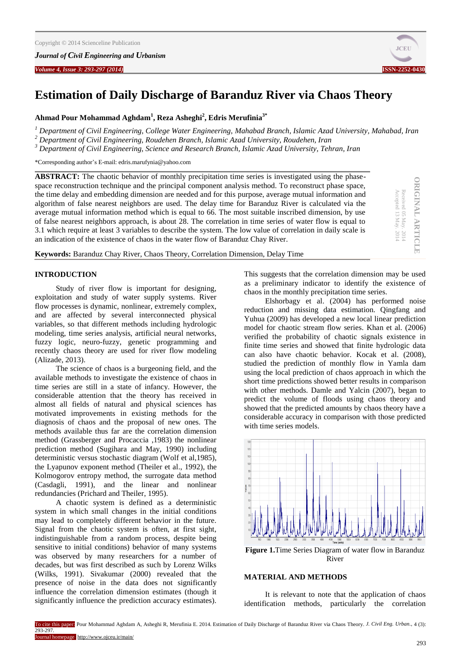*Volume 4, Issue 3: 293-297 (2014)* **ISSN-2252-0430**



**ORIGINAL ARTICLE**

**ORIGINAL ARTICLE** 

Received 05

Accepted 13

May. 2014 May. 2014

# **Estimation of Daily Discharge of Baranduz River via Chaos Theory**

**Ahmad Pour Mohammad Aghdam<sup>1</sup> , Reza Asheghi<sup>2</sup> , Edris Merufinia3\***

*<sup>1</sup> Department of Civil Engineering, College Water Engineering, Mahabad Branch, Islamic Azad University, Mahabad, Iran*

*<sup>2</sup> Department of Civil Engineering, Roudehen Branch, Islamic Azad University, Roudehen, Iran*

*<sup>3</sup> Department of Civil Engineering, Science and Research Branch, Islamic Azad University, Tehran, Iran*

\*Corresponding author's E-mail: edris.marufynia@yahoo.com

**ABSTRACT:** The chaotic behavior of monthly precipitation time series is investigated using the phasespace reconstruction technique and the principal component analysis method. To reconstruct phase space, the time delay and embedding dimension are needed and for this purpose, average mutual information and algorithm of false nearest neighbors are used. The delay time for Baranduz River is calculated via the average mutual information method which is equal to 66. The most suitable inscribed dimension, by use of false nearest neighbors approach, is about 28. The correlation in time series of water flow is equal to 3.1 which require at least 3 variables to describe the system. The low value of correlation in daily scale is an indication of the existence of chaos in the water flow of Baranduz Chay River.

**Keywords:** Baranduz Chay River, Chaos Theory, Correlation Dimension, Delay Time

# **INTRODUCTION**

Study of river flow is important for designing, exploitation and study of water supply systems. River flow processes is dynamic, nonlinear, extremely complex, and are affected by several interconnected physical variables, so that different methods including hydrologic modeling, time series analysis, artificial neural networks, fuzzy logic, neuro-fuzzy, genetic programming and recently chaos theory are used for river flow modeling (Alizade, 2013).

The science of chaos is a burgeoning field, and the available methods to investigate the existence of chaos in time series are still in a state of infancy. However, the considerable attention that the theory has received in almost all fields of natural and physical sciences has motivated improvements in existing methods for the diagnosis of chaos and the proposal of new ones. The methods available thus far are the correlation dimension method (Grassberger and Procaccia ,1983) the nonlinear prediction method (Sugihara and May, 1990) including deterministic versus stochastic diagram (Wolf et al,1985), the Lyapunov exponent method (Theiler et al., 1992), the Kolmogorov entropy method, the surrogate data method (Casdagli, 1991), and the linear and nonlinear redundancies (Prichard and Theiler, 1995).

A chaotic system is defined as a deterministic system in which small changes in the initial conditions may lead to completely different behavior in the future. Signal from the chaotic system is often, at first sight, indistinguishable from a random process, despite being sensitive to initial conditions) behavior of many systems was observed by many researchers for a number of decades, but was first described as such by Lorenz Wilks (Wilks, 1991). Sivakumar (2000) revealed that the presence of noise in the data does not significantly influence the correlation dimension estimates (though it significantly influence the prediction accuracy estimates).

This suggests that the correlation dimension may be used as a preliminary indicator to identify the existence of chaos in the monthly precipitation time series.

Elshorbagy et al. (2004) has performed noise reduction and missing data estimation. Qingfang and Yuhua (2009) has developed a new local linear prediction model for chaotic stream flow series. Khan et al. (2006) verified the probability of chaotic signals existence in finite time series and showed that finite hydrologic data can also have chaotic behavior. Kocak et al. (2008), studied the prediction of monthly flow in Yamla dam using the local prediction of chaos approach in which the short time predictions showed better results in comparison with other methods. Damle and Yalcin (2007), began to predict the volume of floods using chaos theory and showed that the predicted amounts by chaos theory have a considerable accuracy in comparison with those predicted with time series models.



**Figure 1.**Time Series Diagram of water flow in Baranduz River

# **MATERIAL AND METHODS**

It is relevant to note that the application of chaos identification methods, particularly the correlation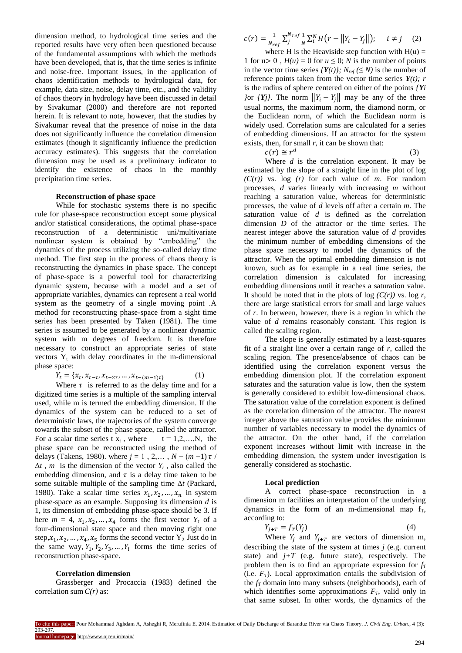dimension method, to hydrological time series and the reported results have very often been questioned because of the fundamental assumptions with which the methods have been developed, that is, that the time series is infinite and noise-free. Important issues, in the application of chaos identification methods to hydrological data, for example, data size, noise, delay time, etc., and the validity of chaos theory in hydrology have been discussed in detail by Sivakumar (2000) and therefore are not reported herein. It is relevant to note, however, that the studies by Sivakumar reveal that the presence of noise in the data does not significantly influence the correlation dimension estimates (though it significantly influence the prediction accuracy estimates). This suggests that the correlation dimension may be used as a preliminary indicator to identify the existence of chaos in the monthly precipitation time series.

## **Reconstruction of phase space**

While for stochastic systems there is no specific rule for phase-space reconstruction except some physical and/or statistical considerations, the optimal phase-space reconstruction of a deterministic uni/multivariate nonlinear system is obtained by "embedding" the dynamics of the process utilizing the so-called delay time method. The first step in the process of chaos theory is reconstructing the dynamics in phase space. The concept of phase-space is a powerful tool for characterizing dynamic system, because with a model and a set of appropriate variables, dynamics can represent a real world system as the geometry of a single moving point .A method for reconstructing phase-space from a sight time series has been presented by Taken (1981). The time series is assumed to be generated by a nonlinear dynamic system with m degrees of freedom. It is therefore necessary to construct an appropriate series of state vectors  $Y_t$  with delay coordinates in the m-dimensional phase space:

$$
Y_t = \{x_t, x_{t-\tau}, x_{t-2\tau}, \dots, x_{t-(m-1)\tau}\}
$$
 (1)

Where  $\tau$  is referred to as the delay time and for a digitized time series is a multiple of the sampling interval used, while m is termed the embedding dimension. If the dynamics of the system can be reduced to a set of deterministic laws, the trajectories of the system converge towards the subset of the phase space, called the attractor. For a scalar time series t  $x_t$ , where  $t = 1, 2, \ldots, N$ , the phase space can be reconstructed using the method of delays (Takens, 1980). where  $j = 1$  , 2,... ,  $N - (m - 1) \tau$  /  $\Delta t$ , *m* is the dimension of the vector  $Y_t$ , also called the embedding dimension, and  $\tau$  is a delay time taken to be some suitable multiple of the sampling time Δ*t* (Packard, 1980). Take a scalar time series  $x_1, x_2, ..., x_n$  in system phase-space as an example. Supposing its dimension *d* is 1, its dimension of embedding phase-space should be 3. If here  $m = 4$ ,  $x_1, x_2, ..., x_4$  forms the first vector  $Y_i$  of a four-dimensional state space and then moving right one step,  $x_1, x_2, ..., x_4, x_5$  forms the second vector  $Y_2$  Just do in the same way,  $Y_1, Y_2, Y_3, \ldots, Y_l$  forms the time series of reconstruction phase-space.

## **Correlation dimension**

Grassberger and Procaccia (1983) defined the correlation sum *C(r)* as:

$$
c(r) = \frac{1}{N_{ref}} \sum_{j}^{N_{ref}} \frac{1}{N} \sum_{i}^{N} H(r - ||Y_i - Y_j||); \quad i \neq j \quad (2)
$$

where H is the Heaviside step function with  $H(u) =$ 1 for  $u > 0$ ,  $H(u) = 0$  for  $u \le 0$ ; *N* is the number of points in the vector time series  ${Y(t)}$ ;  $N_{ref} (\leq N)$  is the number of reference points taken from the vector time series  $Y(t)$ ; *r* is the radius of sphere centered on either of the points *{Yi }*or *{***Y***j}*. The norm  $||Y_i - Y_j||$  may be any of the three usual norms, the maximum norm, the diamond norm, or the Euclidean norm, of which the Euclidean norm is widely used. Correlation sums are calculated for a series of embedding dimensions. If an attractor for the system exists, then, for small  $r$ , it can be shown that:

| $c(r) \cong r^d$ | (3) |
|------------------|-----|
|                  |     |

Where *d* is the correlation exponent. It may be estimated by the slope of a straight line in the plot of log *(C(r))* vs. log *(r)* for each value of *m*. For random processes, *d* varies linearly with increasing *m* without reaching a saturation value, whereas for deterministic processes, the value of *d* levels off after a certain *m*. The saturation value of *d* is defined as the correlation dimension *D* of the attractor or the time series. The nearest integer above the saturation value of *d* provides the minimum number of embedding dimensions of the phase space necessary to model the dynamics of the attractor. When the optimal embedding dimension is not known, such as for example in a real time series, the correlation dimension is calculated for increasing embedding dimensions until it reaches a saturation value. It should be noted that in the plots of log  $(C(r))$  vs. log r, there are large statistical errors for small and large values of *r*. In between, however, there is a region in which the value of *d* remains reasonably constant. This region is called the scaling region.

The slope is generally estimated by a least-squares fit of a straight line over a certain range of *r*, called the scaling region. The presence/absence of chaos can be identified using the correlation exponent versus the embedding dimension plot. If the correlation exponent saturates and the saturation value is low, then the system is generally considered to exhibit low-dimensional chaos. The saturation value of the correlation exponent is defined as the correlation dimension of the attractor. The nearest integer above the saturation value provides the minimum number of variables necessary to model the dynamics of the attractor. On the other hand, if the correlation exponent increases without limit with increase in the embedding dimension, the system under investigation is generally considered as stochastic.

#### **Local prediction**

A correct phase-space reconstruction in a dimension m facilities an interpretation of the underlying dynamics in the form of an m-dimensional map  $f_T$ , according to:

$$
Y_{j+T} = f_T(Y_j) \tag{4}
$$

Where  $Y_j$  and  $Y_{j+T}$  are vectors of dimension m, describing the state of the system at times *j* (e.g. current state) and  $j+T$  (e.g. future state), respectively. The problem then is to find an appropriate expression for *f<sup>T</sup>* (i.e.  $F_T$ ). Local approximation entails the subdivision of the  $f<sub>T</sub>$  domain into many subsets (neighborhoods), each of which identifies some approximations  $F_T$ , valid only in that same subset. In other words, the dynamics of the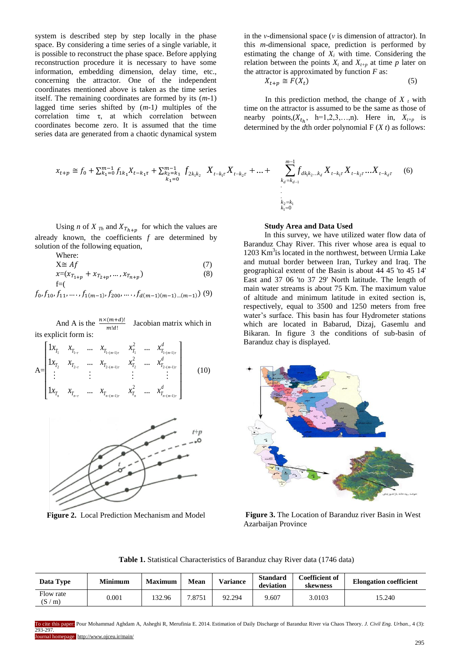system is described step by step locally in the phase space. By considering a time series of a single variable, it is possible to reconstruct the phase space. Before applying reconstruction procedure it is necessary to have some information, embedding dimension, delay time, etc., concerning the attractor*.* One of the independent coordinates mentioned above is taken as the time series itself. The remaining coordinates are formed by its (*m-*1) lagged time series shifted by (*m-*1*)* multiples of the correlation time τ, at which correlation between coordinates become zero. It is assumed that the time series data are generated from a chaotic dynamical system

$$
k_1 = 0
$$
  
\n
$$
k_1 = 0
$$
  
\n
$$
k_2 = k_1
$$
  
\n
$$
k_2 = k_1
$$
  
\n
$$
k_1 = 0
$$
  
\n
$$
k_2 = k_1
$$
  
\n
$$
k_2 = k_1
$$
  
\n
$$
k_1 = 0
$$

Using *n* of *X*  $_{Th}$  and  $X_{Th+n}$  for which the values are already known, the coefficients *f* are determined by solution of the following equation,

Where:

$$
X \cong Af \tag{7}
$$

$$
x=(x_{T_{1+p}}+x_{T_{2+p}},...,x_{T_{n+p}})
$$
\n
$$
f=(-1)^{n}
$$
\n(8)

 $f_0, f_{10}, f_{11}, \ldots, f_{1(m-1)}, f_{200}, \ldots, f_{d(m-1)(m-1)\dots(m-1)}$  (9)

And A is the  $\frac{n \times (m+u)}{m!d!}$  Jacobian matrix which in its explicit form is:

$$
A = \begin{bmatrix} 1x_{T_1} & x_{T_{1-r}} & \dots & x_{T_{1-(m-1)r}} & x_{T_1}^2 & \dots & x_{T_{1-(m-1)r}}^d \\ 1x_{T_2} & x_{T_{2-r}} & \dots & x_{T_{2-(m-1)r}} & x_{T_2}^2 & \dots & x_{T_{2-(m-1)r}}^d \\ \vdots & \vdots & \vdots & \vdots & \vdots \\ 1x_{T_n} & x_{T_{n-r}} & \dots & x_{T_{n-(m-1)r}} & x_{T_n}^2 & \dots & x_{T_{n-(m-1)r}}^d \end{bmatrix}
$$
 (10)



**Figure 2.** Local Prediction Mechanism and Model

in the *ν-*dimensional space (*ν* is dimension of attractor). In this *m*-dimensional space, prediction is performed by estimating the change of  $X_i$  with time. Considering the relation between the points  $X_t$  and  $X_{t+p}$  at time p later on the attractor is approximated by function  $F$  as:

$$
X_{t+p} \cong F(X_t) \tag{5}
$$

In this prediction method, the change of  $X_t$  with time on the attractor is assumed to be the same as those of nearby points,  $(X_{t_h}, \text{ h=1,2,3,...,n})$ . Here in,  $X_{t+p}$  is determined by the *d*th order polynomial F (*X t*) as follows:

$$
x_{t+p} \cong f_0 + \sum_{k_1=0}^{m-1} f_{1k_1} X_{t-k_1\tau} + \sum_{k_2=k_1}^{m-1} f_{2k_1k_2} X_{t-k_1\tau} X_{t-k_2\tau} + \dots + \sum_{k_d=k_{d-1}+1}^{m-1} f_{dk_1k_2\ldots k_d} X_{t-k_1\tau} X_{t-k_2\tau} \ldots X_{t-k_d\tau} \tag{6}
$$

## **Study Area and Data Used**

In this survey, we have utilized water flow data of Baranduz Chay River. This river whose area is equal to 1203 Km<sup>3</sup>is located in the northwest, between Urmia Lake and mutual border between Iran, Turkey and Iraq. The geographical extent of the Basin is about 44 45 'to 45 14' East and 37 06 'to 37 29' North latitude. The length of main water streams is about 75 Km. The maximum value of altitude and minimum latitude in exited section is, respectively, equal to 3500 and 1250 meters from free water's surface. This basin has four Hydrometer stations which are located in Babarud, Dizaj, Gasemlu and Bikaran. In figure 3 the conditions of sub-basin of Baranduz chay is displayed.



**Figure 3.** The Location of Baranduz river Basin in West Azarbaijan Province

**Table 1.** Statistical Characteristics of Baranduz chay River data (1746 data)

| Data Type          | <b>Minimum</b> | Maximum | Mean  | <b>Variance</b> | <b>Standard</b><br>deviation | <b>Coefficient of</b><br>skewness | <b>Elongation coefficient</b> |
|--------------------|----------------|---------|-------|-----------------|------------------------------|-----------------------------------|-------------------------------|
| Flow rate<br>(S/m) | $0.001\,$      | 32.96   | .8751 | 92.294          | 9.607                        | 3.0103                            | 15.240                        |

To cite this paper: Pour Mohammad Aghdam A, Asheghi R, Merufinia E. 2014. Estimation of Daily Discharge of Baranduz River via Chaos Theory. *J. Civil Eng. Urban.,* 4 (3): 293-297.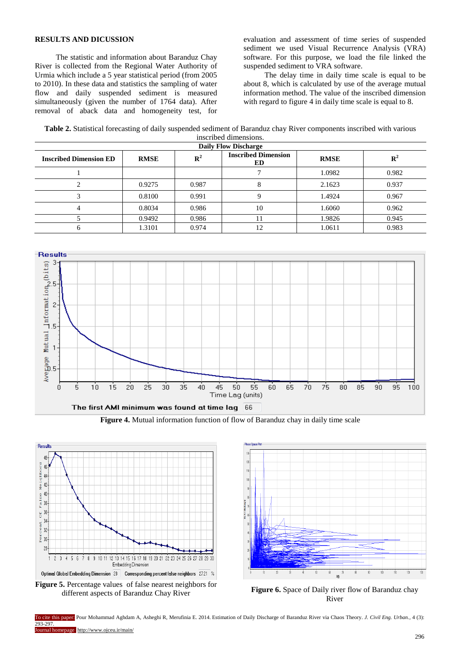# **RESULTS AND DICUSSION**

The statistic and information about Baranduz Chay River is collected from the Regional Water Authority of Urmia which include a 5 year statistical period (from 2005 to 2010). In these data and statistics the sampling of water flow and daily suspended sediment is measured simultaneously (given the number of 1764 data). After removal of aback data and homogeneity test, for evaluation and assessment of time series of suspended sediment we used Visual Recurrence Analysis (VRA) software. For this purpose, we load the file linked the suspended sediment to VRA software.

The delay time in daily time scale is equal to be about 8, which is calculated by use of the average mutual information method. The value of the inscribed dimension with regard to figure 4 in daily time scale is equal to 8.

**Table 2.** Statistical forecasting of daily suspended sediment of Baranduz chay River components inscribed with various inscribed dimensions.

| <b>Daily Flow Discharge</b>   |             |                |                                  |             |                       |  |  |
|-------------------------------|-------------|----------------|----------------------------------|-------------|-----------------------|--|--|
| <b>Inscribed Dimension ED</b> | <b>RMSE</b> | $\mathbf{R}^2$ | <b>Inscribed Dimension</b><br>ED | <b>RMSE</b> | $\mathbf{R}^{\prime}$ |  |  |
|                               |             |                |                                  | 1.0982      | 0.982                 |  |  |
|                               | 0.9275      | 0.987          |                                  | 2.1623      | 0.937                 |  |  |
|                               | 0.8100      | 0.991          |                                  | 1.4924      | 0.967                 |  |  |
|                               | 0.8034      | 0.986          | 10                               | 1.6060      | 0.962                 |  |  |
|                               | 0.9492      | 0.986          |                                  | 1.9826      | 0.945                 |  |  |
|                               | 1.3101      | 0.974          | 12                               | 1.0611      | 0.983                 |  |  |



**Figure 4.** Mutual information function of flow of Baranduz chay in daily time scale





different aspects of Baranduz Chay River<br>different aspects of Baranduz Chay River<br> $\frac{1}{n}$ River

To cite this paper: Pour Mohammad Aghdam A, Asheghi R, Merufinia E. 2014. Estimation of Daily Discharge of Baranduz River via Chaos Theory. *J. Civil Eng. Urban.,* 4 (3): 293-297. Journal homepage: http://www.ojceu.ir/main/